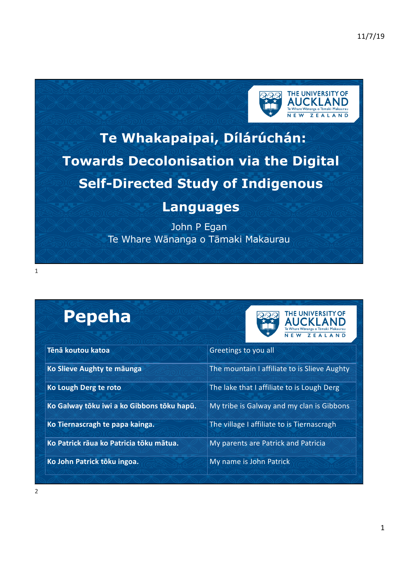

# **Te Whakapaipai, Dílárúchán: Towards Decolonisation via the Digital Self-Directed Study of Indigenous**

#### **Languages**

John P Egan Te Whare Wānanga o Tāmaki Makaurau

# **Pepeha**



| Tēnā koutou katoa                          | Greetings to you all                         |
|--------------------------------------------|----------------------------------------------|
| Ko Slieve Aughty te māunga                 | The mountain I affiliate to is Slieve Aughty |
| Ko Lough Derg te roto                      | The lake that I affiliate to is Lough Derg   |
| Ko Galway tōku iwi a ko Gibbons tōku hapū. | My tribe is Galway and my clan is Gibbons    |
| Ko Tiernascragh te papa kainga.            | The village I affiliate to is Tiernascragh   |
| Ko Patrick rāua ko Patricia tōku mātua.    | My parents are Patrick and Patricia          |
| Ko John Patrick tōku ingoa.                | My name is John Patrick                      |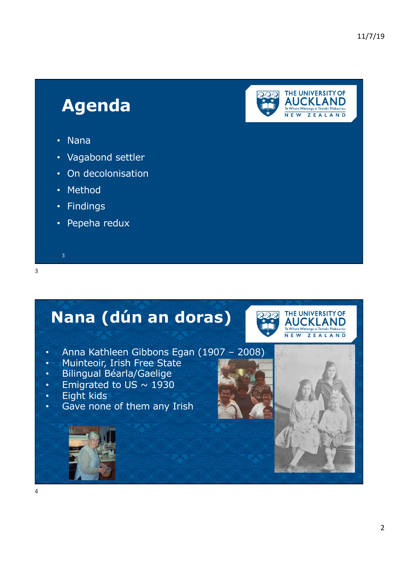## **Agenda**



- Nana
- Vagabond settler
- On decolonisation
- Method
- Findings

3

• Pepeha redux

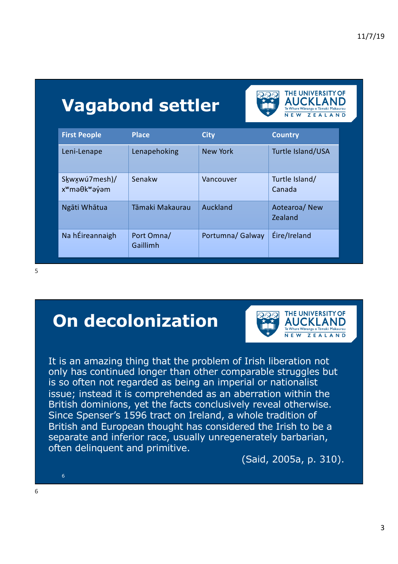# **Vagabond settler**

| <b>First People</b>                                      | <b>Place</b>           | <b>City</b>      | <b>Country</b>           |
|----------------------------------------------------------|------------------------|------------------|--------------------------|
| Leni-Lenape                                              | Lenapehoking           | <b>New York</b>  | Turtle Island/USA        |
| Skwxwú7mesh)/<br>x <sup>w</sup> mə Ok <sup>w</sup> ə yam | Senakw                 | Vancouver        | Turtle Island/<br>Canada |
| Ngāti Whātua                                             | Tāmaki Makaurau        | Auckland         | Aotearoa/New<br>Zealand  |
| Na hÉireannaigh                                          | Port Omna/<br>Gaillimh | Portumna/ Galway | Éire/Ireland             |

5

#### **On decolonization**



THE UNIVERSITY OF **AUCKLAND** Te Whare Wananga o Tamaki Makaurau NEW ZEALAND

It is an amazing thing that the problem of Irish liberation not only has continued longer than other comparable struggles but is so often not regarded as being an imperial or nationalist issue; instead it is comprehended as an aberration within the British dominions, yet the facts conclusively reveal otherwise. Since Spenser's 1596 tract on Ireland, a whole tradition of British and European thought has considered the Irish to be a separate and inferior race, usually unregenerately barbarian, often delinquent and primitive.

(Said, 2005a, p. 310).

6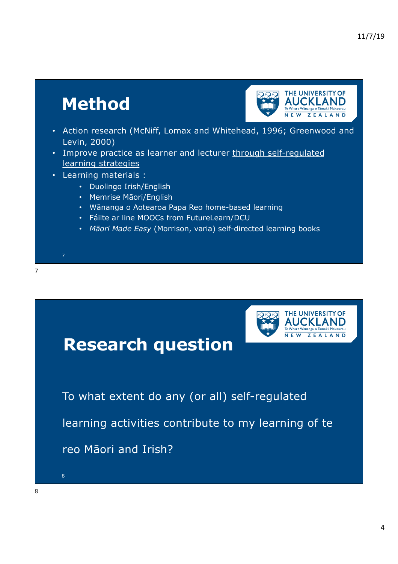# **Method**



- Action research (McNiff, Lomax and Whitehead, 1996; Greenwood and Levin, 2000)
- Improve practice as learner and lecturer through self-regulated learning strategies
- Learning materials :

- Duolingo Irish/English
- Memrise Māori/English
- Wānanga o Aotearoa Papa Reo home-based learning
- Fáilte ar line MOOCs from FutureLearn/DCU
- *Māori Made Easy* (Morrison, varia) self-directed learning books

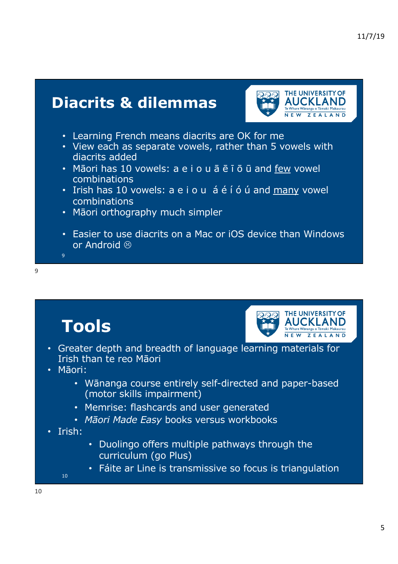

• Easier to use diacrits on a Mac or iOS device than Windows or Android  $\circledR$ 

9

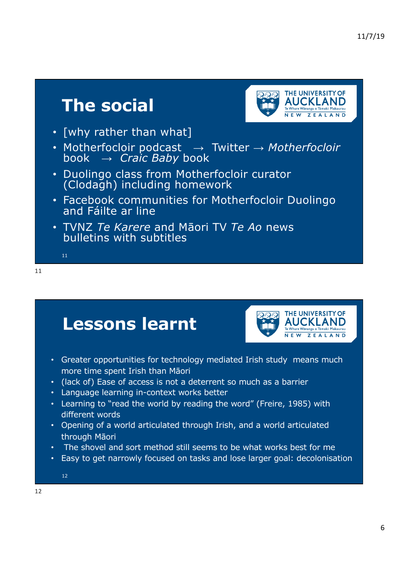## **The social**



- [why rather than what]
- Motherfocloir podcast → Twitter → *Motherfocloir*  book → *Craic Baby* book
- Duolingo class from Motherfocloir curator (Clodagh) including homework
- Facebook communities for Motherfocloir Duolingo and Fáilte ar line
- TVNZ *Te Karere* and Māori TV *Te Ao* news bulletins with subtitles

11